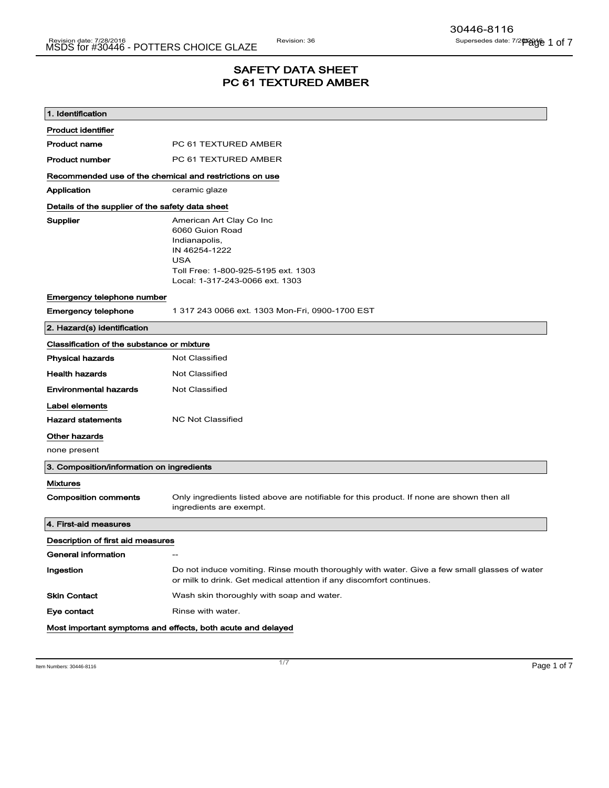## SAFETY DATA SHEET PC 61 TEXTURED AMBER

| 1. Identification                                       |                                                                                                                                                                       |  |
|---------------------------------------------------------|-----------------------------------------------------------------------------------------------------------------------------------------------------------------------|--|
| <b>Product identifier</b>                               |                                                                                                                                                                       |  |
| <b>Product name</b>                                     | PC 61 TEXTURED AMBER                                                                                                                                                  |  |
| <b>Product number</b>                                   | PC 61 TEXTURED AMBER                                                                                                                                                  |  |
| Recommended use of the chemical and restrictions on use |                                                                                                                                                                       |  |
| Application                                             | ceramic glaze                                                                                                                                                         |  |
| Details of the supplier of the safety data sheet        |                                                                                                                                                                       |  |
| Supplier                                                | American Art Clay Co Inc<br>6060 Guion Road<br>Indianapolis,<br>IN 46254-1222<br><b>USA</b><br>Toll Free: 1-800-925-5195 ext. 1303<br>Local: 1-317-243-0066 ext. 1303 |  |
| Emergency telephone number                              |                                                                                                                                                                       |  |
| <b>Emergency telephone</b>                              | 1 317 243 0066 ext. 1303 Mon-Fri, 0900-1700 EST                                                                                                                       |  |
| 2. Hazard(s) identification                             |                                                                                                                                                                       |  |
| Classification of the substance or mixture              |                                                                                                                                                                       |  |
| <b>Physical hazards</b>                                 | <b>Not Classified</b>                                                                                                                                                 |  |
| <b>Health hazards</b>                                   | <b>Not Classified</b>                                                                                                                                                 |  |
| <b>Environmental hazards</b>                            | <b>Not Classified</b>                                                                                                                                                 |  |
| Label elements                                          |                                                                                                                                                                       |  |
| <b>Hazard statements</b>                                | <b>NC Not Classified</b>                                                                                                                                              |  |
| Other hazards                                           |                                                                                                                                                                       |  |
| none present                                            |                                                                                                                                                                       |  |
| 3. Composition/information on ingredients               |                                                                                                                                                                       |  |
| <b>Mixtures</b>                                         |                                                                                                                                                                       |  |
| <b>Composition comments</b>                             | Only ingredients listed above are notifiable for this product. If none are shown then all<br>ingredients are exempt.                                                  |  |
| 4. First-aid measures                                   |                                                                                                                                                                       |  |
| Description of first aid measures                       |                                                                                                                                                                       |  |
| General information                                     |                                                                                                                                                                       |  |
| Ingestion                                               | Do not induce vomiting. Rinse mouth thoroughly with water. Give a few small glasses of water<br>or milk to drink. Get medical attention if any discomfort continues.  |  |
| <b>Skin Contact</b>                                     | Wash skin thoroughly with soap and water.                                                                                                                             |  |
| Eye contact                                             | Rinse with water.                                                                                                                                                     |  |
|                                                         | Most important symptoms and effects, both acute and delayed                                                                                                           |  |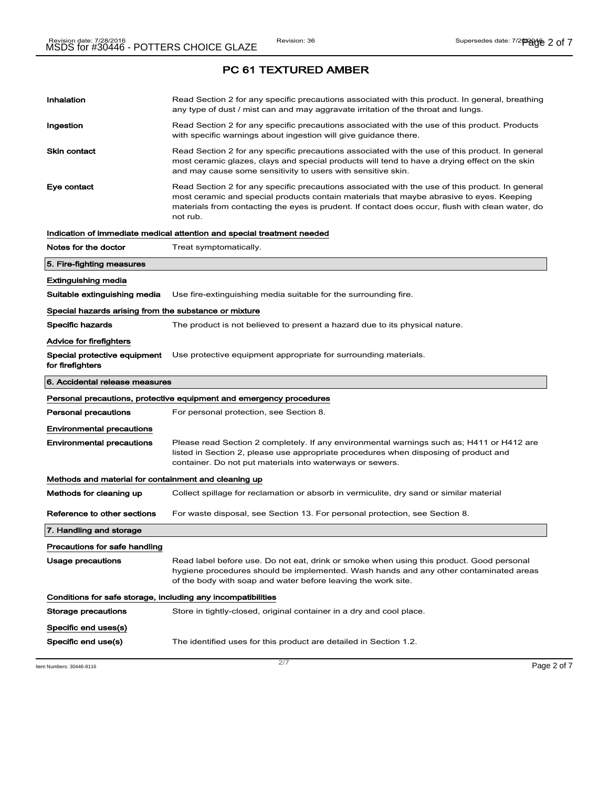# Inhalation **Read Section 2 for any specific precautions associated with this product. In general, breathing** any type of dust / mist can and may aggravate irritation of the throat and lungs. Ingestion **Read Section 2 for any specific precautions associated with the use of this product. Products** with specific warnings about ingestion will give guidance there. Skin contact **Read Section 2 for any specific precautions associated with the use of this product. In general** most ceramic glazes, clays and special products will tend to have a drying effect on the skin and may cause some sensitivity to users with sensitive skin. Eye contact **Read Section 2 for any specific precautions associated with the use of this product. In general** most ceramic and special products contain materials that maybe abrasive to eyes. Keeping materials from contacting the eyes is prudent. If contact does occur, flush with clean water, do not rub. Indication of immediate medical attention and special treatment needed Notes for the doctor Treat symptomatically. 5. Fire-fighting measures Extinguishing media Suitable extinguishing media Use fire-extinguishing media suitable for the surrounding fire. Special hazards arising from the substance or mixture Specific hazards The product is not believed to present a hazard due to its physical nature. Advice for firefighters Special protective equipment for firefighters Use protective equipment appropriate for surrounding materials. 6. Accidental release measures Personal precautions, protective equipment and emergency procedures **Personal precautions** For personal protection, see Section 8. Environmental precautions Environmental precautions Please read Section 2 completely. If any environmental warnings such as; H411 or H412 are listed in Section 2, please use appropriate procedures when disposing of product and container. Do not put materials into waterways or sewers. Methods and material for containment and cleaning up Methods for cleaning up Collect spillage for reclamation or absorb in vermiculite, dry sand or similar material Reference to other sections For waste disposal, see Section 13. For personal protection, see Section 8. 7. Handling and storage Precautions for safe handling Usage precautions **Read label before use. Do not eat, drink or smoke when using this product. Good personal** hygiene procedures should be implemented. Wash hands and any other contaminated areas of the body with soap and water before leaving the work site. Conditions for safe storage, including any incompatibilities Storage precautions Store in tightly-closed, original container in a dry and cool place. Specific end uses(s) Specific end use(s) The identified uses for this product are detailed in Section 1.2.

ltem Numbers: 30446-8116  $\overline{\phantom{0}}$   $\overline{\phantom{0}}$   $\overline{\phantom{0}}$   $\overline{\phantom{0}}$   $\overline{\phantom{0}}$   $\overline{\phantom{0}}$   $\overline{\phantom{0}}$   $\overline{\phantom{0}}$   $\overline{\phantom{0}}$   $\overline{\phantom{0}}$   $\overline{\phantom{0}}$   $\overline{\phantom{0}}$   $\overline{\phantom{0}}$   $\overline{\phantom{0}}$   $\overline{\phantom{0}}$   $\overline{\phantom{0}}$   $\overline$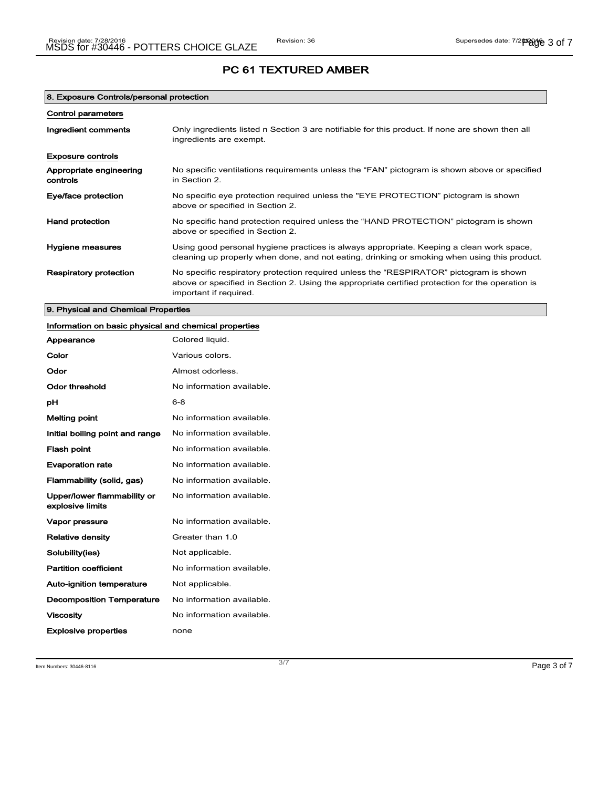| 8. Exposure Controls/personal protection |                                                                                                                                                                                                                      |  |
|------------------------------------------|----------------------------------------------------------------------------------------------------------------------------------------------------------------------------------------------------------------------|--|
| <b>Control parameters</b>                |                                                                                                                                                                                                                      |  |
| Ingredient comments                      | Only ingredients listed n Section 3 are notifiable for this product. If none are shown then all<br>ingredients are exempt.                                                                                           |  |
| <b>Exposure controls</b>                 |                                                                                                                                                                                                                      |  |
| Appropriate engineering<br>controls      | No specific ventilations requirements unless the "FAN" pictogram is shown above or specified<br>in Section 2.                                                                                                        |  |
| Eye/face protection                      | No specific eye protection required unless the "EYE PROTECTION" pictogram is shown<br>above or specified in Section 2.                                                                                               |  |
| <b>Hand protection</b>                   | No specific hand protection required unless the "HAND PROTECTION" pictogram is shown<br>above or specified in Section 2.                                                                                             |  |
| Hygiene measures                         | Using good personal hygiene practices is always appropriate. Keeping a clean work space,<br>cleaning up properly when done, and not eating, drinking or smoking when using this product.                             |  |
| <b>Respiratory protection</b>            | No specific respiratory protection required unless the "RESPIRATOR" pictogram is shown<br>above or specified in Section 2. Using the appropriate certified protection for the operation is<br>important if required. |  |

9. Physical and Chemical Properties

## Information on basic physical and chemical properties

| Appearance                                      | Colored liquid.           |
|-------------------------------------------------|---------------------------|
| Color                                           | Various colors.           |
| Odor                                            | Almost odorless.          |
| <b>Odor threshold</b>                           | No information available. |
| рH                                              | $6 - 8$                   |
| Melting point                                   | No information available. |
| Initial boiling point and range                 | No information available. |
| <b>Flash point</b>                              | No information available. |
| <b>Evaporation rate</b>                         | No information available. |
| Flammability (solid, gas)                       | No information available. |
| Upper/lower flammability or<br>explosive limits | No information available. |
| Vapor pressure                                  | No information available. |
| <b>Relative density</b>                         | Greater than 1.0          |
| Solubility(ies)                                 | Not applicable.           |
| <b>Partition coefficient</b>                    | No information available. |
| Auto-ignition temperature                       | Not applicable.           |
| <b>Decomposition Temperature</b>                | No information available. |
| <b>Viscosity</b>                                | No information available. |
| <b>Explosive properties</b>                     | none                      |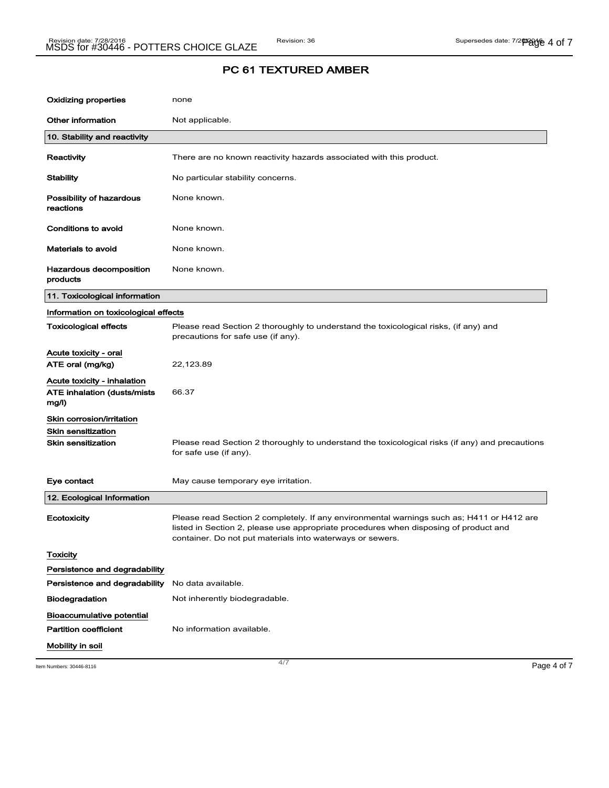| <b>Oxidizing properties</b>                                                         | none                                                                                                                                                                                                                                           |             |
|-------------------------------------------------------------------------------------|------------------------------------------------------------------------------------------------------------------------------------------------------------------------------------------------------------------------------------------------|-------------|
| Other information                                                                   | Not applicable.                                                                                                                                                                                                                                |             |
| 10. Stability and reactivity                                                        |                                                                                                                                                                                                                                                |             |
| Reactivity                                                                          | There are no known reactivity hazards associated with this product.                                                                                                                                                                            |             |
| <b>Stability</b>                                                                    | No particular stability concerns.                                                                                                                                                                                                              |             |
| Possibility of hazardous<br>reactions                                               | None known.                                                                                                                                                                                                                                    |             |
| Conditions to avoid                                                                 | None known.                                                                                                                                                                                                                                    |             |
| Materials to avoid                                                                  | None known.                                                                                                                                                                                                                                    |             |
| Hazardous decomposition<br>products                                                 | None known.                                                                                                                                                                                                                                    |             |
| 11. Toxicological information                                                       |                                                                                                                                                                                                                                                |             |
| Information on toxicological effects                                                |                                                                                                                                                                                                                                                |             |
| <b>Toxicological effects</b>                                                        | Please read Section 2 thoroughly to understand the toxicological risks, (if any) and<br>precautions for safe use (if any).                                                                                                                     |             |
| Acute toxicity - oral                                                               |                                                                                                                                                                                                                                                |             |
| ATE oral (mg/kg)                                                                    | 22,123.89                                                                                                                                                                                                                                      |             |
| Acute toxicity - inhalation<br>ATE inhalation (dusts/mists<br>mg/l)                 | 66.37                                                                                                                                                                                                                                          |             |
| Skin corrosion/irritation<br><b>Skin sensitization</b><br><b>Skin sensitization</b> | Please read Section 2 thoroughly to understand the toxicological risks (if any) and precautions<br>for safe use (if any).                                                                                                                      |             |
| Eye contact                                                                         | May cause temporary eye irritation.                                                                                                                                                                                                            |             |
| 12. Ecological Information                                                          |                                                                                                                                                                                                                                                |             |
| Ecotoxicity                                                                         | Please read Section 2 completely. If any environmental warnings such as; H411 or H412 are<br>listed in Section 2, please use appropriate procedures when disposing of product and<br>container. Do not put materials into waterways or sewers. |             |
| <b>Toxicity</b>                                                                     |                                                                                                                                                                                                                                                |             |
| Persistence and degradability                                                       |                                                                                                                                                                                                                                                |             |
| Persistence and degradability                                                       | No data available.                                                                                                                                                                                                                             |             |
| <b>Biodegradation</b>                                                               | Not inherently biodegradable.                                                                                                                                                                                                                  |             |
| Bioaccumulative potential                                                           |                                                                                                                                                                                                                                                |             |
| <b>Partition coefficient</b>                                                        | No information available.                                                                                                                                                                                                                      |             |
| Mobility in soil                                                                    |                                                                                                                                                                                                                                                |             |
| Item Numbers: 30446-8116                                                            | 4/7                                                                                                                                                                                                                                            | Page 4 of 7 |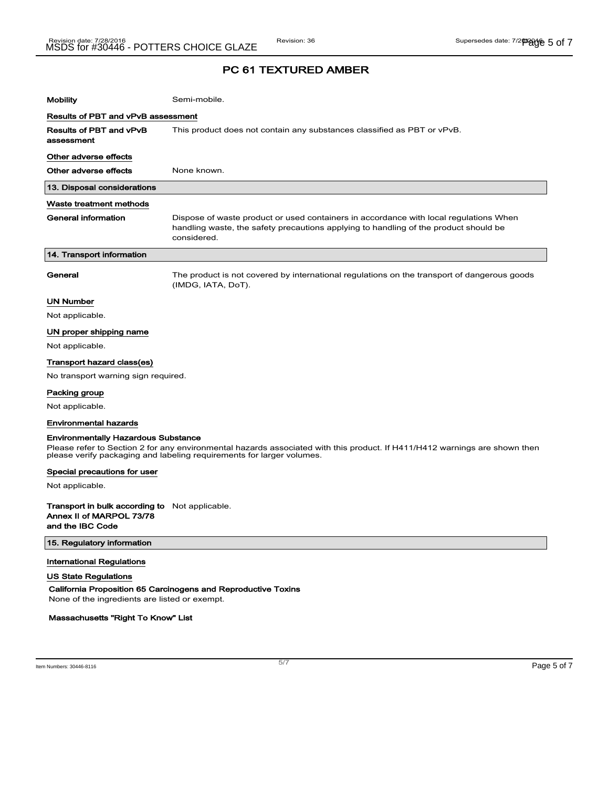| <b>Mobility</b>                       | Semi-mobile.                                                                                                                                                                                 |  |  |
|---------------------------------------|----------------------------------------------------------------------------------------------------------------------------------------------------------------------------------------------|--|--|
|                                       | Results of PBT and vPvB assessment                                                                                                                                                           |  |  |
| Results of PBT and vPvB<br>assessment | This product does not contain any substances classified as PBT or vPvB.                                                                                                                      |  |  |
| Other adverse effects                 |                                                                                                                                                                                              |  |  |
| Other adverse effects                 | None known.                                                                                                                                                                                  |  |  |
| 13. Disposal considerations           |                                                                                                                                                                                              |  |  |
| Waste treatment methods               |                                                                                                                                                                                              |  |  |
| <b>General information</b>            | Dispose of waste product or used containers in accordance with local regulations When<br>handling waste, the safety precautions applying to handling of the product should be<br>considered. |  |  |
| 14. Transport information             |                                                                                                                                                                                              |  |  |
| General                               | The product is not covered by international regulations on the transport of dangerous goods<br>(IMDG, IATA, DoT).                                                                            |  |  |
| <b>UN Number</b>                      |                                                                                                                                                                                              |  |  |
| Not applicable.                       |                                                                                                                                                                                              |  |  |
| UN proper shipping name               |                                                                                                                                                                                              |  |  |
| Not applicable.                       |                                                                                                                                                                                              |  |  |
| Transport hazard class(es)            |                                                                                                                                                                                              |  |  |
| No transport warning sign required.   |                                                                                                                                                                                              |  |  |
| Packing group                         |                                                                                                                                                                                              |  |  |
| Not applicable.                       |                                                                                                                                                                                              |  |  |
| <b>Environmental hazards</b>          |                                                                                                                                                                                              |  |  |

#### Environmentally Hazardous Substance

Please refer to Section 2 for any environmental hazards associated with this product. If H411/H412 warnings are shown then please verify packaging and labeling requirements for larger volumes.

#### Special precautions for user

Not applicable.

Transport in bulk according to Not applicable. Annex II of MARPOL 73/78 and the IBC Code

### 15. Regulatory information

### International Regulations

US State Regulations

California Proposition 65 Carcinogens and Reproductive Toxins

None of the ingredients are listed or exempt.

### Massachusetts "Right To Know" List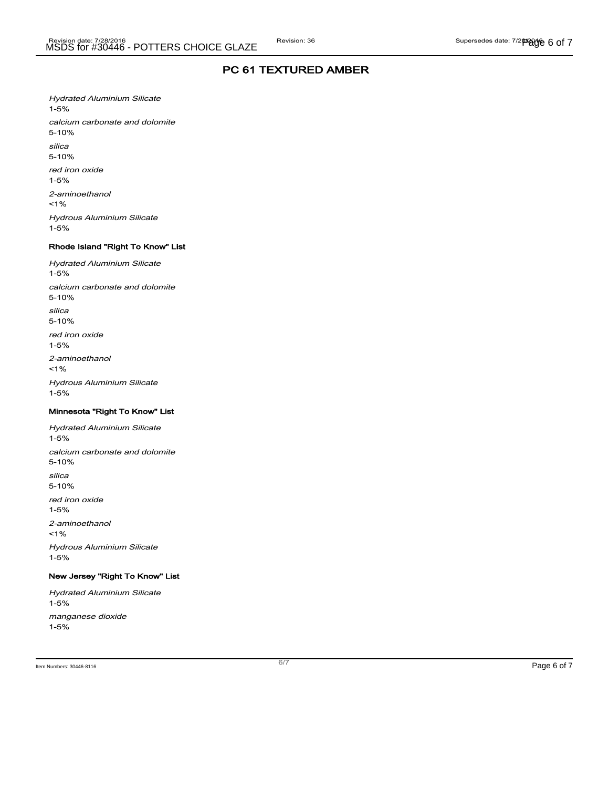Hydrated Aluminium Silicate 1-5% calcium carbonate and dolomite 5-10% silica 5-10% red iron oxide 1-5% 2-aminoethanol  $1%$ Hydrous Aluminium Silicate 1-5%

### Rhode Island "Right To Know" List

Hydrated Aluminium Silicate 1-5% calcium carbonate and dolomite 5-10% silica 5-10% red iron oxide 1-5% 2-aminoethanol <1% Hydrous Aluminium Silicate 1-5%

### Minnesota "Right To Know" List

Hydrated Aluminium Silicate 1-5% calcium carbonate and dolomite 5-10% silica 5-10% red iron oxide 1-5% 2-aminoethanol  $1%$ Hydrous Aluminium Silicate 1-5%

### New Jersey "Right To Know" List

Hydrated Aluminium Silicate 1-5% manganese dioxide 1-5%